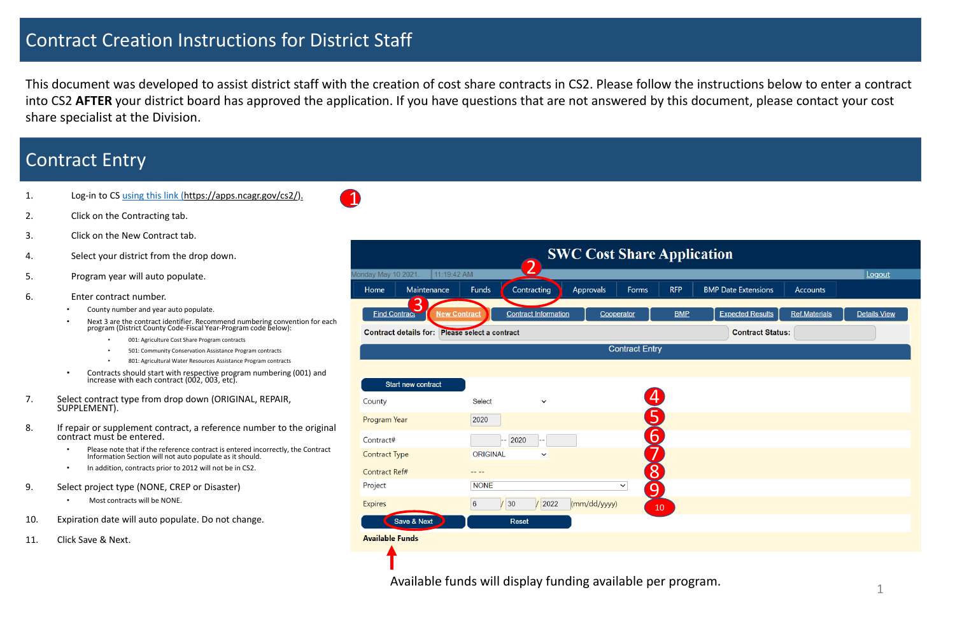- 2. Click on the Contracting tab.
- 3. Click on the New Contract tab.
- 4. Select your district from the drop down.
- 5. Program year will auto populate.
- 6. Enter contract number.
	- County number and year auto populate.
	- Next 3 are the contract identifier. Recommend numbering convention for each program (District County Code-Fiscal Year-Program code b̃elow):
		- 001: Agriculture Cost Share Program contracts
		- 501: Community Conservation Assistance Program contracts
		- 801: Agricultural Water Resources Assistance Program contracts
	- Contracts should start with respective program numbering (001) and increase with each contract (002, 003, etc).
- 7. Select contract type from drop down (ORIGINAL, REPAIR, SUPPLEMENT).
- 8. If repair or supplement contract, a reference number to the original contract must be entered.
	- Please note that if the reference contract is entered incorrectly, the Contract Information Section will not auto populate as it should.
	- In addition, contracts prior to 2012 will not be in CS2.
- 9. Select project type (NONE, CREP or Disaster)
	- Most contracts will be NONE.
- 10. Expiration date will auto populate. Do not change.
- 11. Click Save & Next.

# Contract Creation Instructions for District Staff

This document was developed to assist district staff with the creation of cost share contracts in CS2. Please follow the instructions below to enter a contract into CS2 **AFTER** your district board has approved the application. If you have questions that are not answered by this document, please contact your cost share specialist at the Division.

# Contract Entry

|  |  | Log-in to CS using this link (https://apps.ncagr.gov/cs2/). |
|--|--|-------------------------------------------------------------|
|--|--|-------------------------------------------------------------|



Available funds will display funding available per program.

| ation                      |                      |                     |
|----------------------------|----------------------|---------------------|
| <b>BMP Date Extensions</b> | <b>Accounts</b>      | Logout              |
| <b>Expected Results</b>    | <b>Ref.Materials</b> | <b>Details View</b> |
| <b>Contract Status:</b>    |                      |                     |
|                            |                      |                     |
|                            |                      |                     |
|                            |                      |                     |
|                            |                      |                     |
|                            |                      |                     |
|                            |                      |                     |
|                            |                      |                     |
|                            |                      |                     |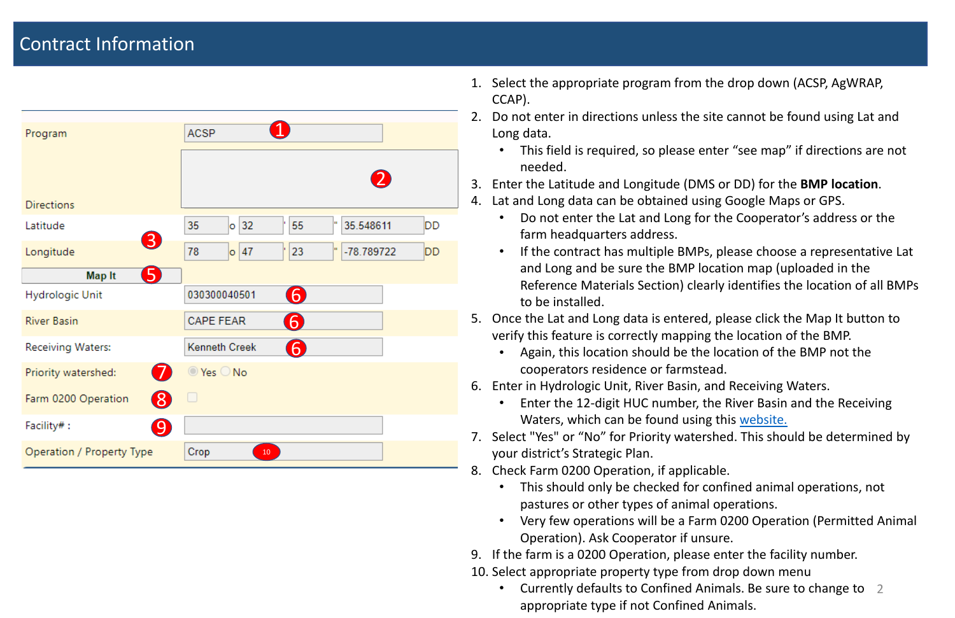• This field is required, so please enter "see map" if directions are not

• If the contract has multiple BMPs, please choose a representative Lat Reference Materials Section) clearly identifies the location of all BMPs

- 1. Select the appropriate program from the drop down (ACSP, AgWRAP, CCAP).
- 2. Do not enter in directions unless the site cannot be found using Lat and Long data.
	- needed.
- 3. Enter the Latitude and Longitude (DMS or DD) for the **BMP location** .
- 4. Lat and Long data can be obtained using Google Maps or GPS.
	- Do not enter the Lat and Long for the Cooperator's address or the farm headquarters address.
	- and Long and be sure the BMP location map (uploaded in the to be installed.
- 5. Once the Lat and Long data is entered, please click the Map It button to verify this feature is correctly mapping the location of the BMP.
	- Again, this location should be the location of the BMP not the cooperators residence or farmstead.
- 6. Enter in Hydrologic Unit, River Basin, and Receiving Waters.
	- Enter the 12-digit HUC number, the River Basin and the Receiving Waters, which can be found using this [website.](https://ncdenr.maps.arcgis.com/apps/PublicInformation/index.html?appid=ad3a85a0c6d644a0b97cd069db238ac3#!)
- 7. Select "Yes" or "No" for Priority watershed. This should be determined by your district's Strategic Plan.
- 8. Check Farm 0200 Operation, if applicable.
	- This should only be checked for confined animal operations, not pastures or other types of animal operations.
	- Operation). Ask Cooperator if unsure.
- 9. If the farm is a 0200 Operation, please enter the facility number.
- 10. Select appropriate property type from drop down menu
	- Currently defaults to Confined Animals. Be sure to change to 2 appropriate type if not Confined Animals.

• Very few operations will be a Farm 0200 Operation (Permitted Animal

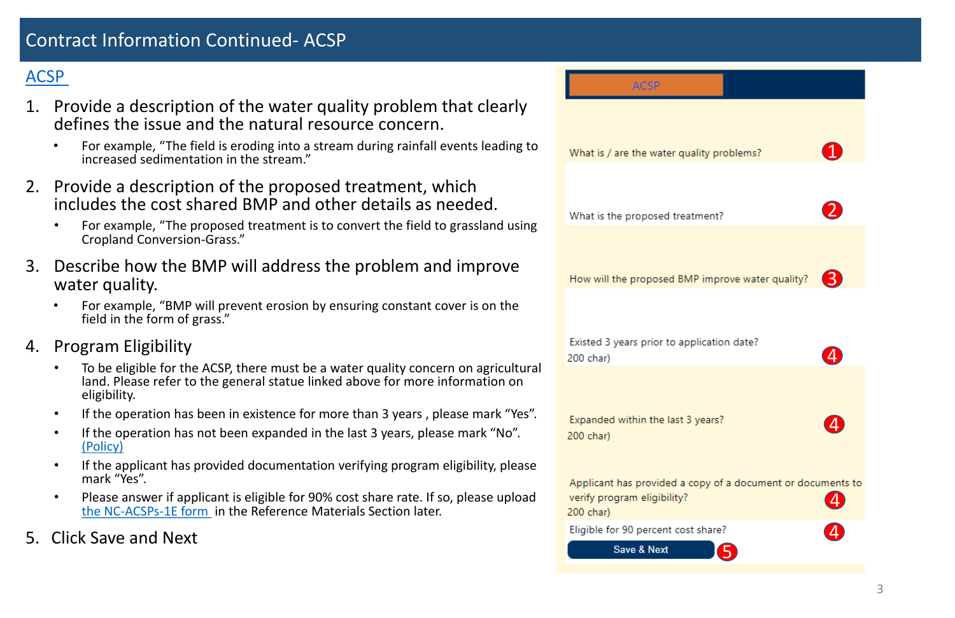## [ACSP](https://www.ncleg.net/EnactedLegislation/Statutes/PDF/ByArticle/Chapter_106/Article_72.pdf)

- 1. Provide a description of the water quality problem that clearly defines the issue and the natural resource concern.
	- For example, "The field is eroding into a stream during rainfall events leading to increased sedimentation in the stream . "
- 2. Provide a description of the proposed treatment, which includes the cost shared BMP and other details as needed.
	- For example, "The proposed treatment is to convert the field to grassland using Cropland Conversion-Grass . "
- 3. Describe how the BMP will address the problem and improve water quality .
	- For example, "BMP will prevent erosion by ensuring constant cover is on the field in the form of grass . "
- 4. Program Eligibility
	- To be eligible for the ACSP, there must be a water quality concern on agricultural land. Please refer to the general statue linked above for more information on eligibility.
	- If the operation has been in existence for more than 3 years , please mark "Yes".
	- If the operation has not been expanded in the last 3 years, please mark "No". [\(Policy\)](http://www.ncagr.gov/SWC/costshareprograms/documents/NEWANDEXPANDEDOPERATIONS.pdf)
	- If the applicant has provided documentation verifying program eligibility, please mark "Yes".
	- Please answer if applicant is eligible for 90% cost share rate. If so, please upload the NC-ACSPs[-1E form](https://www.ncagr.gov/SWC/costshareprograms/documents/2_New-Limited_Resource_Self_Certification_revision.pdf) in the Reference Materials Section later.
- 5. Click Save and Next

| <b>ACSP</b>                                |
|--------------------------------------------|
|                                            |
|                                            |
| What is / are the water quality            |
|                                            |
|                                            |
| What is the proposed treatme               |
|                                            |
|                                            |
| How will the proposed BMP in               |
|                                            |
|                                            |
| Existed 3 years prior to applic            |
| 200 char)                                  |
|                                            |
|                                            |
| Expanded within the last 3 ye<br>200 char) |
|                                            |
|                                            |

verify program eligibility? 200 char)

Eligible for 90 percent cost share?

**Save & Next** 

# Contract Information Continued - ACSP

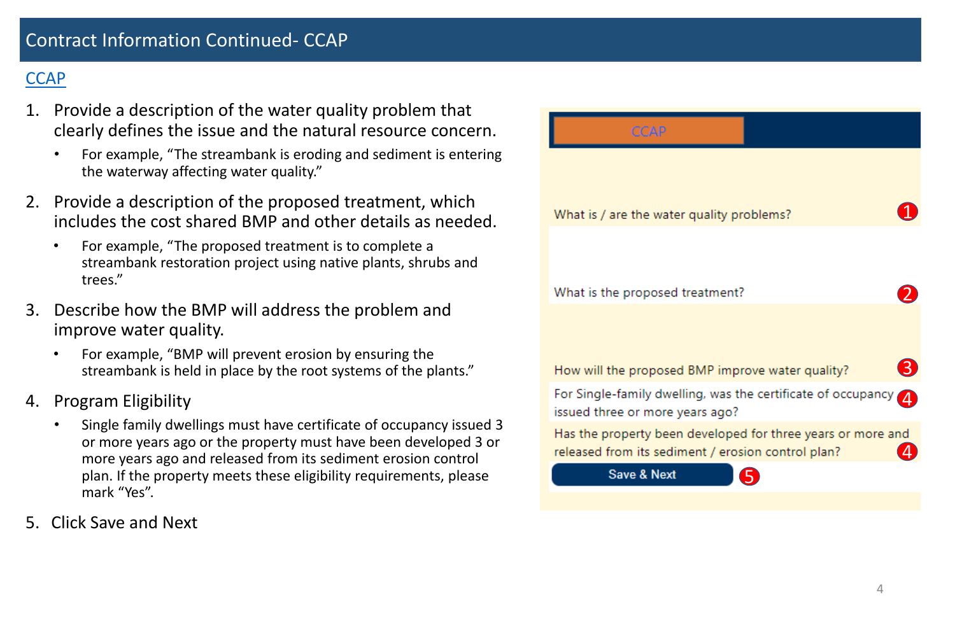- 1. Provide a description of the water quality problem that clearly defines the issue and the natural resource concern.
	- For example, "The streambank is eroding and sediment is entering the waterway affecting water quality."
- 2. Provide a description of the proposed treatment, which includes the cost shared BMP and other details as needed.
	- For example, "The proposed treatment is to complete a streambank restoration project using native plants, shrubs and trees."
- 3. Describe how the BMP will address the problem and improve water quality.
	- For example, "BMP will prevent erosion by ensuring the streambank is held in place by the root systems of the plants."
- 4. Program Eligibility
	- Single family dwellings must have certificate of occupancy issued 3 or more years ago or the property must have been developed 3 or more years ago and released from its sediment erosion control plan. If the property meets these eligibility requirements, please mark "Yes".
- 

| CCAP                                                   |
|--------------------------------------------------------|
|                                                        |
| What is / are the water qu                             |
|                                                        |
| What is the proposed trea                              |
|                                                        |
| How will the proposed BM                               |
| For Single-family dwelling                             |
| issued three or more year:                             |
| Has the property been de<br>released from its sediment |
| <b>Save &amp; Next</b>                                 |
|                                                        |

5. Click Save and Next

# Contract Information Continued - CCAP

# **[CCAP](https://www.ncleg.net/EnactedLegislation/Statutes/PDF/ByArticle/Chapter_106/Article_73.pdf)**





ality problems?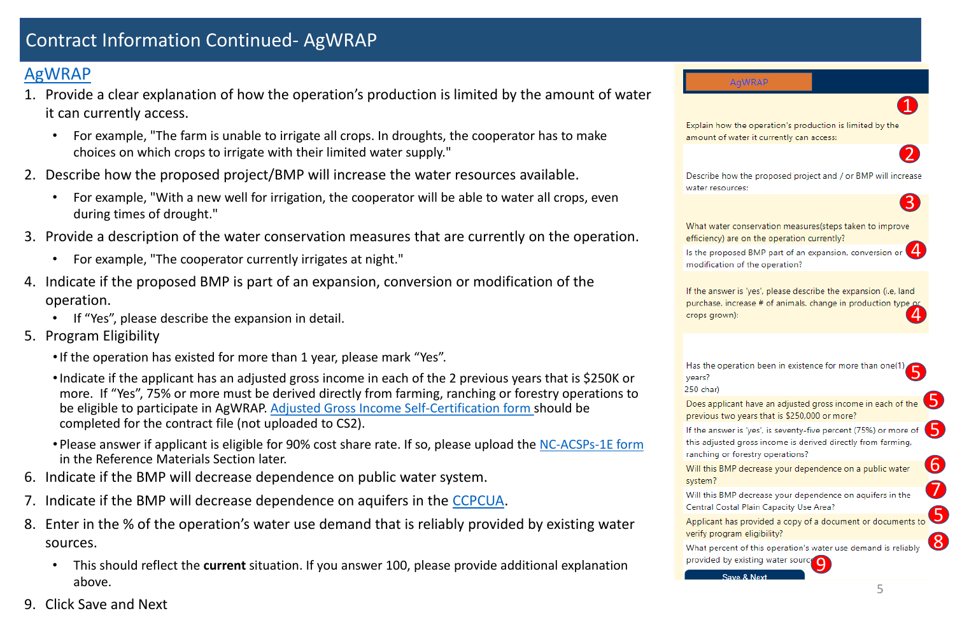# Contract Information Continued - AgWRAP

5.

5.

6

### [AgWRAP](https://www.ncleg.net/EnactedLegislation/Statutes/PDF/BySection/Chapter_139/GS_139-60.pdf)

- 1. Provide a clear explanation of how the operation's production is limited by the amount of water it can currently access.
	- For example, "The farm is unable to irrigate all crops. In droughts, the cooperator has to make choices on which crops to irrigate with their limited water supply."
- 2. Describe how the proposed project/BMP will increase the water resources available.
	- For example, "With a new well for irrigation, the cooperator will be able to water all crops, even during times of drought."
- 3. Provide a description of the water conservation measures that are currently on the operation.
	- For example, "The cooperator currently irrigates at night."
- 4. Indicate if the proposed BMP is part of an expansion, conversion or modification of the operation.
	- If "Yes", please describe the expansion in detail.
- 5. Program Eligibility
	- If the operation has existed for more than 1 year, please mark "Yes".
	- •Indicate if the applicant has an adjusted gross income in each of the 2 previous years that is \$250K or more. If "Yes", 75% or more must be derived directly from farming, ranching or forestry operations to be eligible to participate in AgWRAP. [Adjusted Gross Income Self](https://www.ncagr.gov/SWC/costshareprograms/documents/4_AgWRAP_form_000.pdf)-Certification form should be completed for the contract file (not uploaded to CS2).
	- Please answer if applicant is eligible for 90% cost share rate. If so, please upload the NC-ACSPs[-1E form](https://www.ncagr.gov/SWC/costshareprograms/documents/2_New-Limited_Resource_Self_Certification_revision.pdf) in the Reference Materials Section later.
- 6. Indicate if the BMP will decrease dependence on public water system.
- 7. Indicate if the BMP will decrease dependence on aquifers in the [CCPCUA](https://www.ncwater.org/?page=49).
- 8. Enter in the % of the operation's water use demand that is reliably provided by existing water sources.
	- This should reflect the **current** situation. If you answer 100, please provide additional explanation above.
- 9. Click Save and Next



Describe how the proposed project and / or BMP will increase water resources:

12 rease 3<br>
<sup>12</sup> de 4<br>
<sup>32</sup> de 6<br>
132 or 4<br>
132 or 4 If the answer is 'yes', please describe the expansion (i.e, land purchase, increase # of animals, change in production type or crops grown):

years? 250 char) system?

### **AgWRAP**

Explain how the operation's production is limited by the amount of water it currently can access:

- What water conservation measures(steps taken to improve efficiency) are on the operation currently?
- $\mathbf{A}$ Is the proposed BMP part of an expansion, conversion or modification of the operation?

- Has the operation been in existence for more than one(1) 556758
- Does applicant have an adjusted gross income in each of the previous two years that is \$250,000 or more?
- If the answer is 'yes', is seventy-five percent (75%) or more of this adjusted gross income is derived directly from farming, ranching or forestry operations?
- Will this BMP decrease your dependence on a public water
- Will this BMP decrease your dependence on aquifers in the Central Costal Plain Capacity Use Area?
- Applicant has provided a copy of a document or documents to verify program eligibility? 8
- What percent of this operation's water use demand is reliably provided by existing water source

Save & Next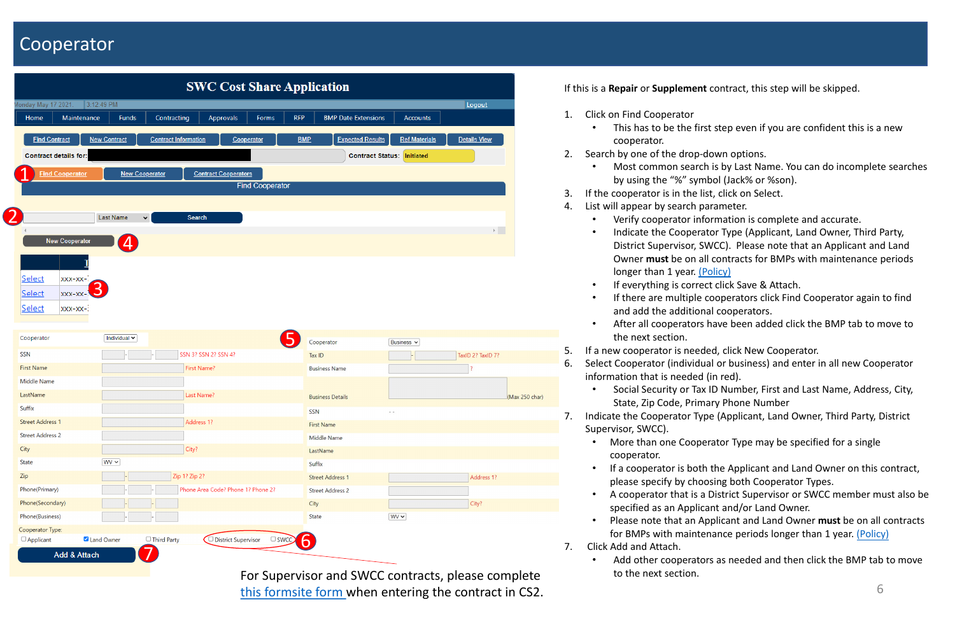# Cooperator

If this is a **Repair** or **Supplement** contract, this step will be skipped.

• This has to be the first step even if you are confident this is a new

• Most common search is by Last Name. You can do incomplete searches by using the "%" symbol (Jack% or %son).

- 1. Click on Find Cooperator
	- cooperator.
- 2. Search by one of the drop-down options.
	-
- 3. If the cooperator is in the list, click on Select.
- 4. List will appear by search parameter.
	- Verify cooperator information is complete and accurate.
	- Indicate the Cooperator Type (Applicant, Land Owner, Third Party, District Supervisor, SWCC). Please note that an Applicant and Land Owner **must** be on all contracts for BMPs with maintenance periods longer than 1 year. [\(Policy\)](http://reports.oah.state.nc.us/ncac/title%2002%20-%20agriculture%20and%20consumer%20services/chapter%2059%20-%20soil%20and%20water%20conservation%20commission/subchapter%20d/subchapter%20d%20rules.pdf)
	- If everything is correct click Save & Attach.
	- If there are multiple cooperators click Find Cooperator again to find and add the additional cooperators.
	- the next section.
- After all cooperators have been added click the BMP tab to move to
	-

5. If a new cooperator is needed, click New Cooperator. 6. Select Cooperator (individual or business) and enter in all new Cooperator information that is needed (in red).

• More than one Cooperator Type may be specified for a single

- Social Security or Tax ID Number, First and Last Name, Address, City, State, Zip Code, Primary Phone Number
- 7. Indicate the Cooperator Type (Applicant, Land Owner, Third Party, District Supervisor, SWCC).
	- cooperator.
	- If a cooperator is both the Applicant and Land Owner on this contract, please specify by choosing both Cooperator Types.
	- A cooperator that is a District Supervisor or SWCC member must also be specified as an Applicant and/or Land Owner.
	- Please note that an Applicant and Land Owner **must** be on all contracts for BMPs with maintenance periods longer than 1 year. [\(Policy\)](http://reports.oah.state.nc.us/ncac/title%2002%20-%20agriculture%20and%20consumer%20services/chapter%2059%20-%20soil%20and%20water%20conservation%20commission/subchapter%20d/subchapter%20d%20rules.pdf)
- 7. Click Add and Attach.
	- to the next section.

• Add other cooperators as needed and then click the BMP tab to move

|                                                                                                                                                                                                        |                                  |                             |                                    |                         |                                   | <b>SWC Cost Share Application</b>           |                |  |  |  |  |  |  |
|--------------------------------------------------------------------------------------------------------------------------------------------------------------------------------------------------------|----------------------------------|-----------------------------|------------------------------------|-------------------------|-----------------------------------|---------------------------------------------|----------------|--|--|--|--|--|--|
| Monday May 17 2021                                                                                                                                                                                     | 3:12:49 PM                       |                             |                                    |                         |                                   | Logout                                      |                |  |  |  |  |  |  |
| Maintenance<br>Home                                                                                                                                                                                    | <b>Funds</b>                     | Contracting                 | Forms<br><b>Approvals</b>          | <b>RFP</b>              | <b>BMP</b> Date Extensions        | <b>Accounts</b>                             |                |  |  |  |  |  |  |
| <b>Find Contract</b>                                                                                                                                                                                   | <b>New Contract</b>              | <b>Contract Information</b> | Cooperator                         | <b>BMP</b>              | <b>Expected Results</b>           | <b>Ref.Materials</b><br><b>Details View</b> |                |  |  |  |  |  |  |
|                                                                                                                                                                                                        |                                  |                             |                                    |                         |                                   |                                             |                |  |  |  |  |  |  |
| <b>Contract details for:</b>                                                                                                                                                                           |                                  |                             |                                    |                         | <b>Contract Status: Initiated</b> |                                             |                |  |  |  |  |  |  |
| <b>Find Cooperator</b>                                                                                                                                                                                 | <b>New Cooperator</b>            |                             | <b>Contract Cooperators</b>        |                         |                                   |                                             |                |  |  |  |  |  |  |
|                                                                                                                                                                                                        |                                  |                             | <b>Find Cooperator</b>             |                         |                                   |                                             |                |  |  |  |  |  |  |
|                                                                                                                                                                                                        |                                  |                             |                                    |                         |                                   |                                             |                |  |  |  |  |  |  |
|                                                                                                                                                                                                        | <b>Last Name</b>                 | $\checkmark$<br>Search      |                                    |                         |                                   |                                             |                |  |  |  |  |  |  |
|                                                                                                                                                                                                        |                                  |                             |                                    |                         |                                   | $\mathbb{R}^n$ .                            |                |  |  |  |  |  |  |
| <b>New Cooperator</b>                                                                                                                                                                                  | $\left  \mathbf{A} \right $      |                             |                                    |                         |                                   |                                             |                |  |  |  |  |  |  |
|                                                                                                                                                                                                        |                                  |                             |                                    |                         |                                   |                                             |                |  |  |  |  |  |  |
| Select<br>XXX-XX-                                                                                                                                                                                      |                                  |                             |                                    |                         |                                   |                                             |                |  |  |  |  |  |  |
|                                                                                                                                                                                                        | $\overline{3}$                   |                             |                                    |                         |                                   |                                             |                |  |  |  |  |  |  |
| Select<br>XXX-XX-                                                                                                                                                                                      |                                  |                             |                                    |                         |                                   |                                             |                |  |  |  |  |  |  |
| Select<br>xxx-xx-:                                                                                                                                                                                     |                                  |                             |                                    |                         |                                   |                                             |                |  |  |  |  |  |  |
|                                                                                                                                                                                                        |                                  |                             |                                    |                         |                                   |                                             |                |  |  |  |  |  |  |
|                                                                                                                                                                                                        |                                  |                             |                                    |                         |                                   |                                             |                |  |  |  |  |  |  |
|                                                                                                                                                                                                        | Individual $\blacktriangleright$ |                             |                                    | Cooperator              | Business v                        |                                             |                |  |  |  |  |  |  |
|                                                                                                                                                                                                        |                                  | SSN 3? SSN 2? SSN 4?        |                                    | Tax ID                  |                                   | TaxID 2? TaxID 7?                           |                |  |  |  |  |  |  |
|                                                                                                                                                                                                        |                                  | First Name?                 |                                    | <b>Business Name</b>    |                                   | $\overline{\mathbf{z}}$                     |                |  |  |  |  |  |  |
|                                                                                                                                                                                                        |                                  |                             |                                    |                         |                                   |                                             |                |  |  |  |  |  |  |
|                                                                                                                                                                                                        |                                  | Last Name?                  |                                    | <b>Business Details</b> |                                   |                                             | (Max 250 char) |  |  |  |  |  |  |
|                                                                                                                                                                                                        |                                  |                             |                                    |                         | $ -$                              |                                             |                |  |  |  |  |  |  |
|                                                                                                                                                                                                        |                                  | Address 1?                  |                                    | SSN                     |                                   |                                             |                |  |  |  |  |  |  |
|                                                                                                                                                                                                        |                                  |                             |                                    | <b>First Name</b>       |                                   |                                             |                |  |  |  |  |  |  |
|                                                                                                                                                                                                        |                                  | City?                       |                                    | Middle Name<br>LastName |                                   |                                             |                |  |  |  |  |  |  |
|                                                                                                                                                                                                        | $WV \sim$                        |                             |                                    | Suffix                  |                                   |                                             |                |  |  |  |  |  |  |
|                                                                                                                                                                                                        |                                  | Zip 1? Zip 2?               |                                    | <b>Street Address 1</b> |                                   |                                             |                |  |  |  |  |  |  |
|                                                                                                                                                                                                        |                                  |                             | Phone Area Code? Phone 1? Phone 2? |                         |                                   | Address 1?                                  |                |  |  |  |  |  |  |
| Cooperator<br><b>SSN</b><br><b>First Name</b><br>Middle Name<br>LastName<br>Suffix<br><b>Street Address 1</b><br><b>Street Address 2</b><br>City<br>State<br>Zip<br>Phone(Primary)<br>Phone(Secondary) |                                  |                             |                                    | <b>Street Address 2</b> |                                   |                                             |                |  |  |  |  |  |  |
| Phone(Business)                                                                                                                                                                                        |                                  |                             |                                    | City                    |                                   | City?                                       |                |  |  |  |  |  |  |
| Cooperator Type:                                                                                                                                                                                       |                                  |                             |                                    | State                   | WV                                |                                             |                |  |  |  |  |  |  |

For Supervisor and SWCC contracts, please complete [this formsite form w](https://fs3.formsite.com/ncdswc/Supervisor_Contracts/index.html)hen entering the contract in CS2.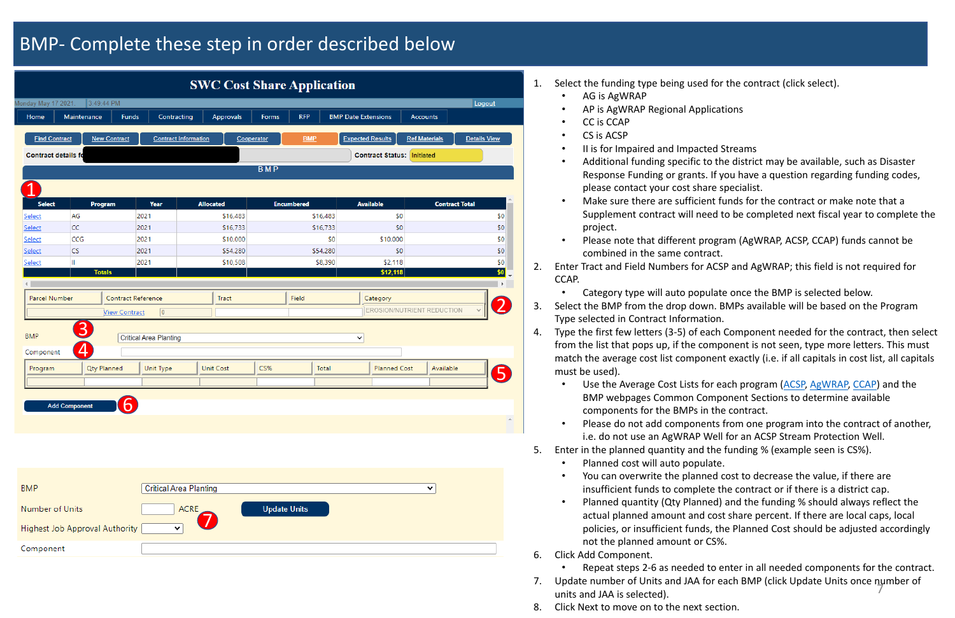# BMP- Complete these step in order described below

Make sure there are sufficient funds for the contract or make note that a Supplement contract will need to be completed next fiscal year to complete the

• Additional funding specific to the district may be available, such as Disaster Response Funding or grants. If you have a question regarding funding codes,

• Please note that different program (AgWRAP, ACSP, CCAP) funds cannot be

• Use the Average Cost Lists for each program [\(ACSP,](https://www.ncagr.gov/SWC/costshareprograms/ACSP/documents/FY2021_NCACSP_Average_Cost_List_2020_8_.pdf) [AgWRAP,](https://www.ncagr.gov/SWC/costshareprograms/AgWRAP/documents/FY2021_AgWRAP_avg_costs.pdf) [CCAP\)](https://www.ncagr.gov/SWC/costshareprograms/CCAP/documents/2021_FY_CCAP_Average_Costs.pdf) and the BMP webpages Common Component Sections to determine available

2. Enter Tract and Field Numbers for ACSP and AgWRAP; this field is not required for

• Category type will auto populate once the BMP is selected below.

3. Select the BMP from the drop down. BMPs available will be based on the Program

4. Type the first few letters (3-5) of each Component needed for the contract, then select from the list that pops up, if the component is not seen, type more letters. This must match the average cost list component exactly (i.e. if all capitals in cost list, all capitals

- 1. Select the funding type being used for the contract (click select).
	- AG is AgWRAP
	- AP is AgWRAP Regional Applications
	- CC is CCAP
	- CS is ACSP
	- II is for Impaired and Impacted Streams
	- please contact your cost share specialist.
	- project.
	- combined in the same contract.
- CCAP.
	-
- Type selected in Contract Information.
- must be used).
	- components for the BMPs in the contract.
	-
- 5. Enter in the planned quantity and the funding % (example seen is CS%).
	- Planned cost will auto populate.
	-
	- not the planned amount or CS%.
- 6. Click Add Component.
	-
- units and JAA is selected).
- 8. Click Next to move on to the next section.

• Please do not add components from one program into the contract of another, i.e. do not use an AgWRAP Well for an ACSP Stream Protection Well.

• You can overwrite the planned cost to decrease the value, if there are insufficient funds to complete the contract or if there is a district cap.

• Planned quantity (Qty Planned) and the funding % should always reflect the actual planned amount and cost share percent. If there are local caps, local policies, or insufficient funds, the Planned Cost should be adjusted accordingly

• Repeat steps 2-6 as needed to enter in all needed components for the contract. 7. Update number of Units and JAA for each BMP (click Update Units once number of 7

| <b>SWC Cost Share Application</b> |                      |                                |                               |                               |            |                     |          |                                   |                            |                     |
|-----------------------------------|----------------------|--------------------------------|-------------------------------|-------------------------------|------------|---------------------|----------|-----------------------------------|----------------------------|---------------------|
| Monday May 17 2021.               |                      | 3:49:44 PM                     |                               |                               |            |                     |          |                                   |                            | Logout              |
| Home                              | Maintenance          | Funds                          | Contracting                   | Approvals                     | Forms      | <b>RFP</b>          |          | <b>BMP Date Extensions</b>        | <b>Accounts</b>            |                     |
|                                   |                      |                                |                               |                               |            |                     |          |                                   |                            |                     |
| <b>Find Contract</b>              |                      | <b>New Contract</b>            |                               | <b>Contract Information</b>   | Cooperator | <b>BMP</b>          |          | <b>Expected Results</b>           | <b>Ref.Materials</b>       | <b>Details View</b> |
| <b>Contract details fo</b>        |                      |                                |                               |                               |            |                     |          | <b>Contract Status: Initiated</b> |                            |                     |
|                                   |                      |                                |                               |                               | <b>BMP</b> |                     |          |                                   |                            |                     |
|                                   |                      |                                |                               |                               |            |                     |          |                                   |                            |                     |
| <b>Select</b>                     |                      | Program                        | Year                          | <b>Allocated</b>              |            | <b>Encumbered</b>   |          | <b>Available</b>                  | <b>Contract Total</b>      |                     |
| Select                            | AG                   |                                | 2021                          |                               | \$16,483   |                     | \$16,483 | \$0                               |                            | \$0                 |
| Select                            | <b>CC</b>            |                                | 2021                          |                               | \$16,733   |                     | \$16,733 | \$0                               |                            | \$0                 |
| Select                            | <b>CCG</b>           |                                | 2021                          |                               | \$10,000   |                     | \$0      | \$10,000                          |                            | \$0                 |
| Select                            | <b>CS</b>            |                                | 2021                          |                               | \$54,280   |                     | \$54,280 | \$0                               |                            | \$0                 |
| Select                            | Ш                    | <b>Totals</b>                  | 2021                          |                               | \$10,508   |                     | \$8,390  | \$2,118<br>\$12,118               |                            | \$0<br>\$0          |
|                                   |                      |                                |                               |                               |            |                     |          |                                   |                            | Þ.                  |
| Parcel Number                     |                      | Contract Reference             |                               | Tract                         |            | Field               |          | Category                          |                            |                     |
|                                   |                      | <b>View Contract</b>           | $\vert 0 \vert$               |                               |            |                     |          |                                   | EROSION/NUTRIENT REDUCTION |                     |
| <b>BMP</b>                        | $\boxed{3}$          |                                | <b>Critical Area Planting</b> |                               |            |                     |          | $\checkmark$                      |                            |                     |
| Component                         | $\overline{A}$       |                                |                               |                               |            |                     |          |                                   |                            |                     |
| Program                           |                      | Qty Planned                    | Unit Type                     | <b>Unit Cost</b>              | CS%        |                     | Total    | Planned Cost                      | Available                  |                     |
|                                   |                      |                                |                               |                               |            |                     |          |                                   |                            |                     |
|                                   | <b>Add Component</b> |                                |                               |                               |            |                     |          |                                   |                            |                     |
|                                   |                      |                                |                               |                               |            |                     |          |                                   |                            | $\Delta$            |
|                                   |                      |                                |                               |                               |            |                     |          |                                   |                            |                     |
|                                   |                      |                                |                               |                               |            |                     |          |                                   |                            |                     |
|                                   |                      |                                |                               |                               |            |                     |          |                                   |                            |                     |
|                                   |                      |                                |                               |                               |            |                     |          |                                   |                            |                     |
|                                   |                      |                                |                               |                               |            |                     |          |                                   |                            |                     |
| <b>BMP</b>                        |                      |                                |                               | <b>Critical Area Planting</b> |            |                     |          |                                   | v                          |                     |
| Number of Units                   |                      |                                |                               | <b>ACRE</b>                   |            | <b>Update Units</b> |          |                                   |                            |                     |
|                                   |                      | Highest Job Approval Authority | $\checkmark$                  |                               |            |                     |          |                                   |                            |                     |
| Component                         |                      |                                |                               |                               |            |                     |          |                                   |                            |                     |
|                                   |                      |                                |                               |                               |            |                     |          |                                   |                            |                     |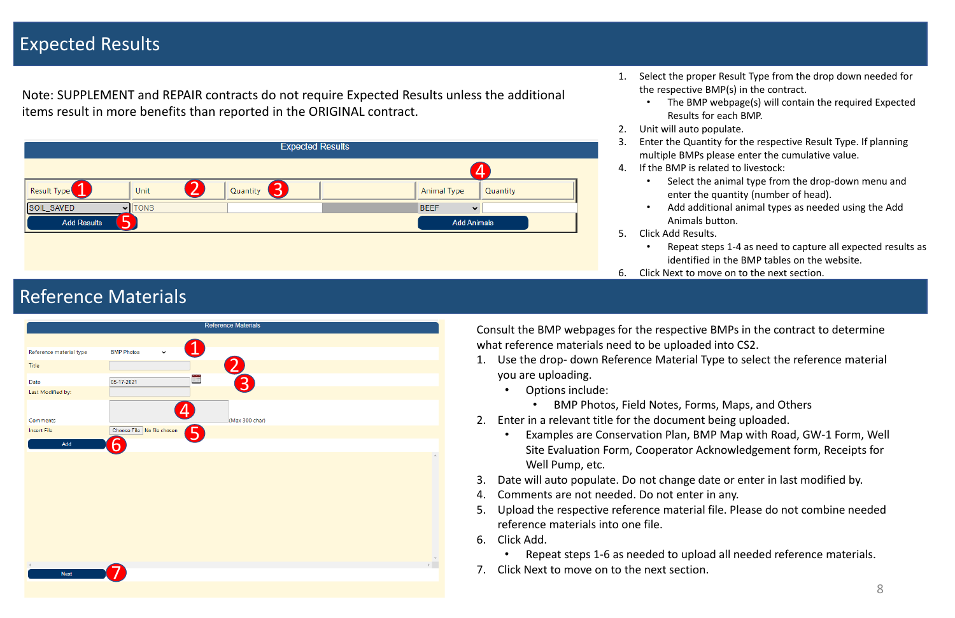# Expected Results

1. Select the proper Result Type from the drop down needed for the respective BMP(s) in the contract.

• The BMP webpage(s) will contain the required Expected Results for each BMP.

Select the animal type from the drop-down menu and enter the quantity (number of head).

3. Enter the Quantity for the respective Result Type. If planning multiple BMPs please enter the cumulative value.

4. If the BMP is related to livestock:

- -
- 2. Unit will auto populate.
- 
- -
	-
	-
- 5. Click Add Results.
	-
	-
- 

• Add additional animal types as needed using the Add Animals button.

• Repeat steps 1-4 as need to capture all expected results as identified in the BMP tables on the website.

6. Click Next to move on to the next section.



# Reference Materials

Consult the BMP webpages for the respective BMPs in the contract to determine what reference materials need to be uploaded into CS2.

• Examples are Conservation Plan, BMP Map with Road, GW-1 Form, Well

Site Evaluation Form, Cooperator Acknowledgement form, Receipts for

- 1. Use the drop- down Reference Material Type to select the reference material you are uploading.
	- Options include:
		- BMP Photos, Field Notes, Forms, Maps, and Others
- 2. Enter in a relevant title for the document being uploaded.
	- Well Pump, etc.
- 3. Date will auto populate. Do not change date or enter in last modified by.
- 4. Comments are not needed. Do not enter in any.
- 5. Upload the respective reference material file. Please do not combine needed reference materials into one file.
- 6. Click Add.
	- Repeat steps 1-6 as needed to upload all needed reference materials.
- 7. Click Next to move on to the next section.



Note: SUPPLEMENT and REPAIR contracts do not require Expected Results unless the additional items result in more benefits than reported in the ORIGINAL contract.